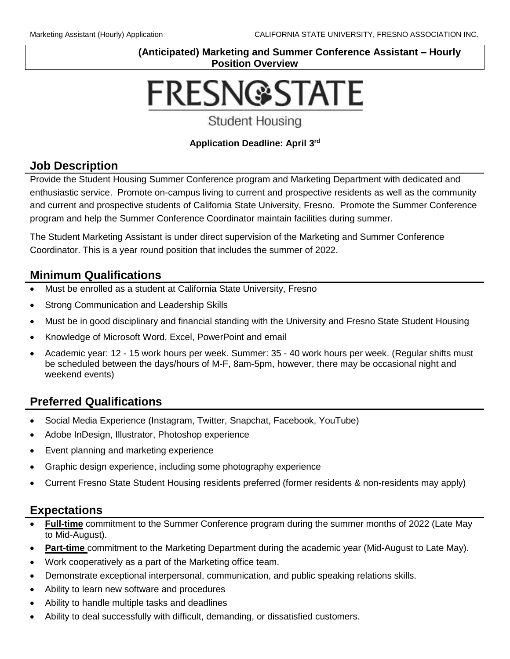#### **(Anticipated) Marketing and Summer Conference Assistant – Hourly Position Overview**

# **FRESN@STATE**

**Student Housing** 

#### **Application Deadline: April 3rd**

### **Job Description**

Provide the Student Housing Summer Conference program and Marketing Department with dedicated and enthusiastic service. Promote on-campus living to current and prospective residents as well as the community and current and prospective students of California State University, Fresno. Promote the Summer Conference program and help the Summer Conference Coordinator maintain facilities during summer.

The Student Marketing Assistant is under direct supervision of the Marketing and Summer Conference Coordinator. This is a year round position that includes the summer of 2022.

## **Minimum Qualifications**

- Must be enrolled as a student at California State University, Fresno
- Strong Communication and Leadership Skills
- Must be in good disciplinary and financial standing with the University and Fresno State Student Housing
- Knowledge of Microsoft Word, Excel, PowerPoint and email
- Academic year: 12 15 work hours per week. Summer: 35 40 work hours per week. (Regular shifts must be scheduled between the days/hours of M-F, 8am-5pm, however, there may be occasional night and weekend events)

# **Preferred Qualifications**

- Social Media Experience (Instagram, Twitter, Snapchat, Facebook, YouTube)
- Adobe InDesign, Illustrator, Photoshop experience
- Event planning and marketing experience
- Graphic design experience, including some photography experience
- Current Fresno State Student Housing residents preferred (former residents & non-residents may apply)

## **Expectations**

- **Full-time** commitment to the Summer Conference program during the summer months of 2022 (Late May to Mid-August).
- **Part-time** commitment to the Marketing Department during the academic year (Mid-August to Late May).
- Work cooperatively as a part of the Marketing office team.
- Demonstrate exceptional interpersonal, communication, and public speaking relations skills.
- Ability to learn new software and procedures
- Ability to handle multiple tasks and deadlines
- Ability to deal successfully with difficult, demanding, or dissatisfied customers.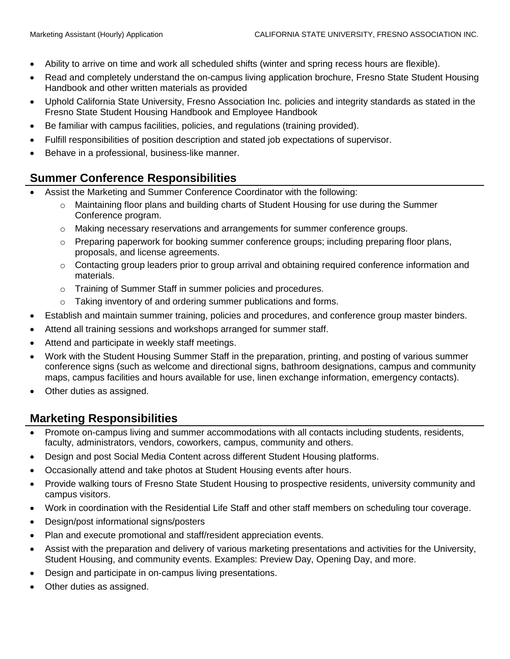- Ability to arrive on time and work all scheduled shifts (winter and spring recess hours are flexible).
- Read and completely understand the on-campus living application brochure, Fresno State Student Housing Handbook and other written materials as provided
- Uphold California State University, Fresno Association Inc. policies and integrity standards as stated in the Fresno State Student Housing Handbook and Employee Handbook
- Be familiar with campus facilities, policies, and regulations (training provided).
- Fulfill responsibilities of position description and stated job expectations of supervisor.
- Behave in a professional, business-like manner.

## **Summer Conference Responsibilities**

- Assist the Marketing and Summer Conference Coordinator with the following:
	- o Maintaining floor plans and building charts of Student Housing for use during the Summer Conference program.
	- o Making necessary reservations and arrangements for summer conference groups.
	- $\circ$  Preparing paperwork for booking summer conference groups; including preparing floor plans, proposals, and license agreements.
	- $\circ$  Contacting group leaders prior to group arrival and obtaining required conference information and materials.
	- o Training of Summer Staff in summer policies and procedures.
	- o Taking inventory of and ordering summer publications and forms.
- Establish and maintain summer training, policies and procedures, and conference group master binders.
- Attend all training sessions and workshops arranged for summer staff.
- Attend and participate in weekly staff meetings.
- Work with the Student Housing Summer Staff in the preparation, printing, and posting of various summer conference signs (such as welcome and directional signs, bathroom designations, campus and community maps, campus facilities and hours available for use, linen exchange information, emergency contacts).
- Other duties as assigned.

## **Marketing Responsibilities**

- Promote on-campus living and summer accommodations with all contacts including students, residents, faculty, administrators, vendors, coworkers, campus, community and others.
- Design and post Social Media Content across different Student Housing platforms.
- Occasionally attend and take photos at Student Housing events after hours.
- Provide walking tours of Fresno State Student Housing to prospective residents, university community and campus visitors.
- Work in coordination with the Residential Life Staff and other staff members on scheduling tour coverage.
- Design/post informational signs/posters
- Plan and execute promotional and staff/resident appreciation events.
- Assist with the preparation and delivery of various marketing presentations and activities for the University, Student Housing, and community events. Examples: Preview Day, Opening Day, and more.
- Design and participate in on-campus living presentations.
- Other duties as assigned.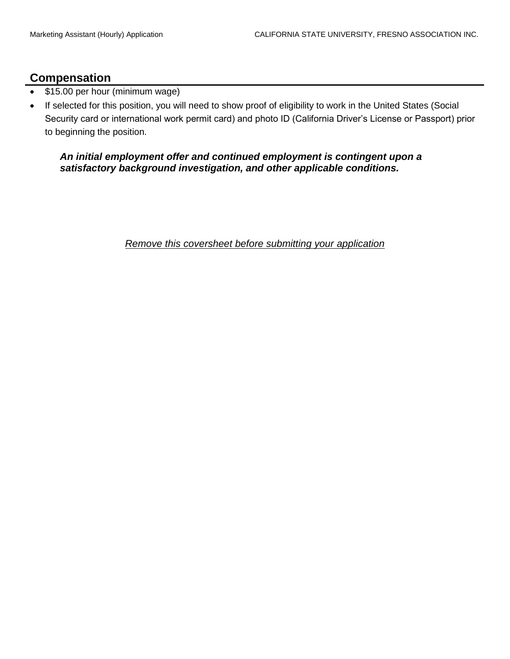#### **Compensation**

- \$15.00 per hour (minimum wage)
- If selected for this position, you will need to show proof of eligibility to work in the United States (Social Security card or international work permit card) and photo ID (California Driver's License or Passport) prior to beginning the position.

#### *An initial employment offer and continued employment is contingent upon a satisfactory background investigation, and other applicable conditions.*

*Remove this coversheet before submitting your application*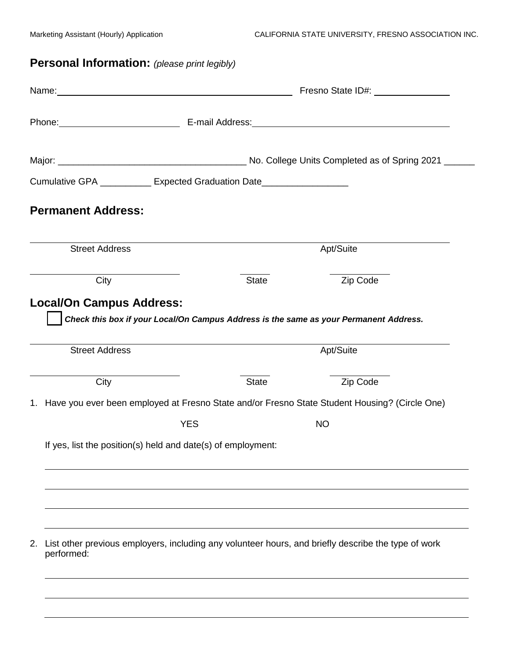# **Personal Information:** *(please print legibly)*

|                                                                           |            |              | Name: Name: Name: Name: Name: Name: Name: Name: Name: Name: Name: Name: Name: Name: Name: Name: Name: Name: Name: Name: Name: Name: Name: Name: Name: Name: Name: Name: Name: Name: Name: Name: Name: Name: Name: Name: Name:  |
|---------------------------------------------------------------------------|------------|--------------|--------------------------------------------------------------------------------------------------------------------------------------------------------------------------------------------------------------------------------|
|                                                                           |            |              | Phone: E-mail Address: E-mail: E-mail: Address: All Annual Address: All Annual Address: All Annual Address: All Annual Address: All Annual Address: All Annual Address: All Annual Address: All Annual Address: All Annual Add |
|                                                                           |            |              |                                                                                                                                                                                                                                |
| Cumulative GPA ____________ Expected Graduation Date_____________________ |            |              |                                                                                                                                                                                                                                |
| <b>Permanent Address:</b>                                                 |            |              |                                                                                                                                                                                                                                |
| <b>Street Address</b>                                                     |            |              | Apt/Suite                                                                                                                                                                                                                      |
| City                                                                      |            | <b>State</b> | Zip Code                                                                                                                                                                                                                       |
| <b>Street Address</b>                                                     |            |              | Check this box if your Local/On Campus Address is the same as your Permanent Address.<br>Apt/Suite                                                                                                                             |
| City                                                                      |            | <b>State</b> | Zip Code                                                                                                                                                                                                                       |
|                                                                           |            |              |                                                                                                                                                                                                                                |
|                                                                           |            |              | 1. Have you ever been employed at Fresno State and/or Fresno State Student Housing? (Circle One)                                                                                                                               |
|                                                                           | <b>YES</b> |              | <b>NO</b>                                                                                                                                                                                                                      |
| If yes, list the position(s) held and date(s) of employment:              |            |              |                                                                                                                                                                                                                                |
|                                                                           |            |              |                                                                                                                                                                                                                                |
| 2.<br>performed:                                                          |            |              | List other previous employers, including any volunteer hours, and briefly describe the type of work                                                                                                                            |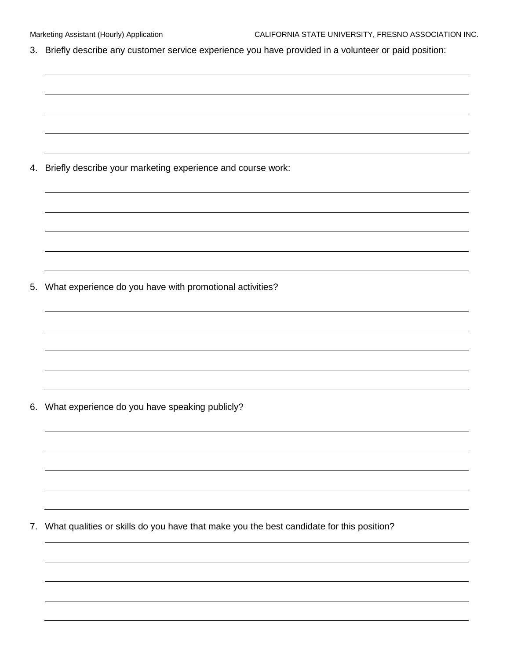3. Briefly describe any customer service experience you have provided in a volunteer or paid position:

4. Briefly describe your marketing experience and course work:

5. What experience do you have with promotional activities?

6. What experience do you have speaking publicly?

7. What qualities or skills do you have that make you the best candidate for this position?